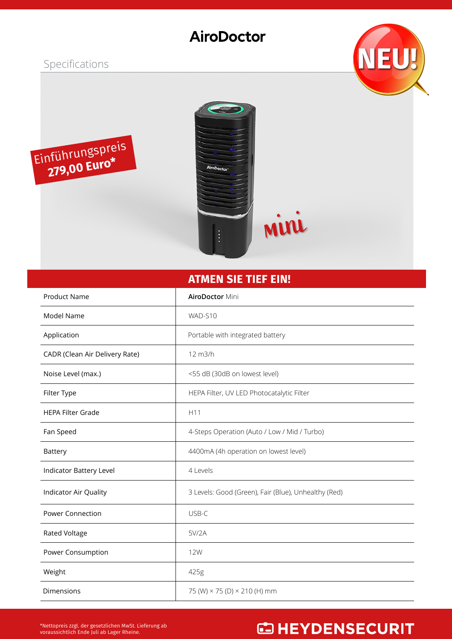### AiroDoctor

#### Specifications





#### **ATMEN SIE TIEF EIN!**

| <b>Product Name</b>            | <b>AiroDoctor Mini</b>                               |
|--------------------------------|------------------------------------------------------|
| Model Name                     | WAD-S10                                              |
| Application                    | Portable with integrated battery                     |
| CADR (Clean Air Delivery Rate) | 12 m3/h                                              |
| Noise Level (max.)             | <55 dB (30dB on lowest level)                        |
| Filter Type                    | HEPA Filter, UV LED Photocatalytic Filter            |
| <b>HEPA Filter Grade</b>       | H11                                                  |
| Fan Speed                      | 4-Steps Operation (Auto / Low / Mid / Turbo)         |
| Battery                        | 4400mA (4h operation on lowest level)                |
| Indicator Battery Level        | 4 Levels                                             |
| Indicator Air Quality          | 3 Levels: Good (Green), Fair (Blue), Unhealthy (Red) |
| <b>Power Connection</b>        | USB-C                                                |
| <b>Rated Voltage</b>           | 5V/2A                                                |
| Power Consumption              | <b>12W</b>                                           |
| Weight                         | 425g                                                 |
| Dimensions                     | 75 (W) × 75 (D) × 210 (H) mm                         |

## **CD HEYDENSECURIT**